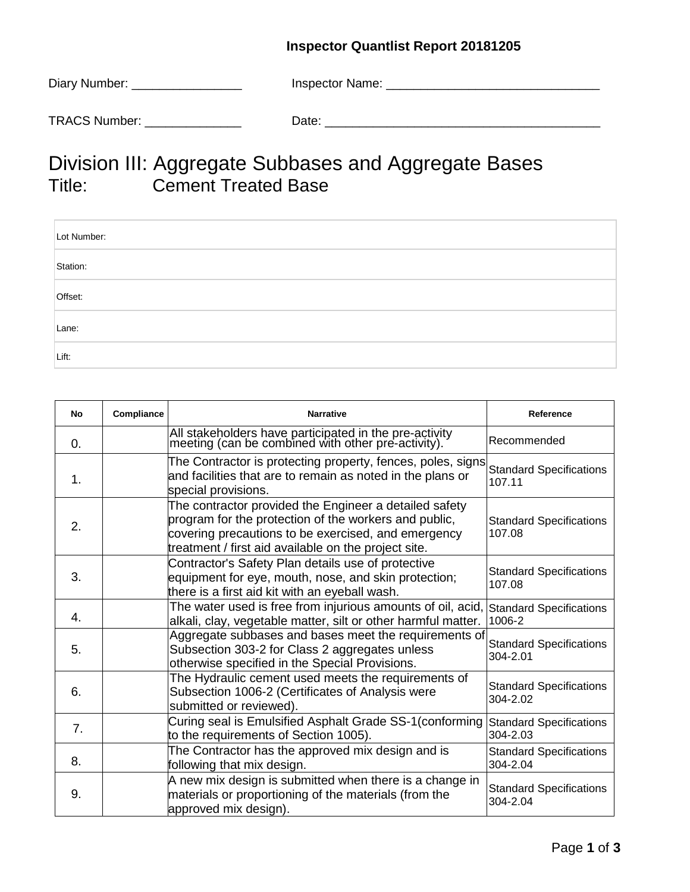## **Inspector Quantlist Report 20181205**

| Diary Number: __     | Inspector Name: |
|----------------------|-----------------|
| <b>TRACS Number:</b> | Date:           |

## Division III: Aggregate Subbases and Aggregate Bases Cement Treated Base

| Lot Number: |
|-------------|
| Station:    |
| Offset:     |
| Lane:       |
| Lift:       |

| No         | Compliance | <b>Narrative</b>                                                                                                                                                                                                               | Reference                                  |
|------------|------------|--------------------------------------------------------------------------------------------------------------------------------------------------------------------------------------------------------------------------------|--------------------------------------------|
| $\Omega$ . |            | All stakeholders have participated in the pre-activity<br>meeting (can be combined with other pre-activity).                                                                                                                   | Recommended                                |
| 1.         |            | The Contractor is protecting property, fences, poles, signs<br>and facilities that are to remain as noted in the plans or<br>special provisions.                                                                               | <b>Standard Specifications</b><br>107.11   |
| 2.         |            | The contractor provided the Engineer a detailed safety<br>program for the protection of the workers and public,<br>covering precautions to be exercised, and emergency<br>treatment / first aid available on the project site. | <b>Standard Specifications</b><br>107.08   |
| 3.         |            | Contractor's Safety Plan details use of protective<br>equipment for eye, mouth, nose, and skin protection;<br>there is a first aid kit with an eyeball wash.                                                                   | <b>Standard Specifications</b><br>107.08   |
| 4.         |            | The water used is free from injurious amounts of oil, acid,<br>alkali, clay, vegetable matter, silt or other harmful matter.                                                                                                   | <b>Standard Specifications</b><br>1006-2   |
| 5.         |            | Aggregate subbases and bases meet the requirements of<br>Subsection 303-2 for Class 2 aggregates unless<br>otherwise specified in the Special Provisions.                                                                      | <b>Standard Specifications</b><br>304-2.01 |
| 6.         |            | The Hydraulic cement used meets the requirements of<br>Subsection 1006-2 (Certificates of Analysis were<br>submitted or reviewed).                                                                                             | <b>Standard Specifications</b><br>304-2.02 |
| 7.         |            | Curing seal is Emulsified Asphalt Grade SS-1 (conforming<br>to the requirements of Section 1005).                                                                                                                              | <b>Standard Specifications</b><br>304-2.03 |
| 8.         |            | The Contractor has the approved mix design and is<br>following that mix design.                                                                                                                                                | <b>Standard Specifications</b><br>304-2.04 |
| 9.         |            | A new mix design is submitted when there is a change in<br>materials or proportioning of the materials (from the<br>approved mix design).                                                                                      | <b>Standard Specifications</b><br>304-2.04 |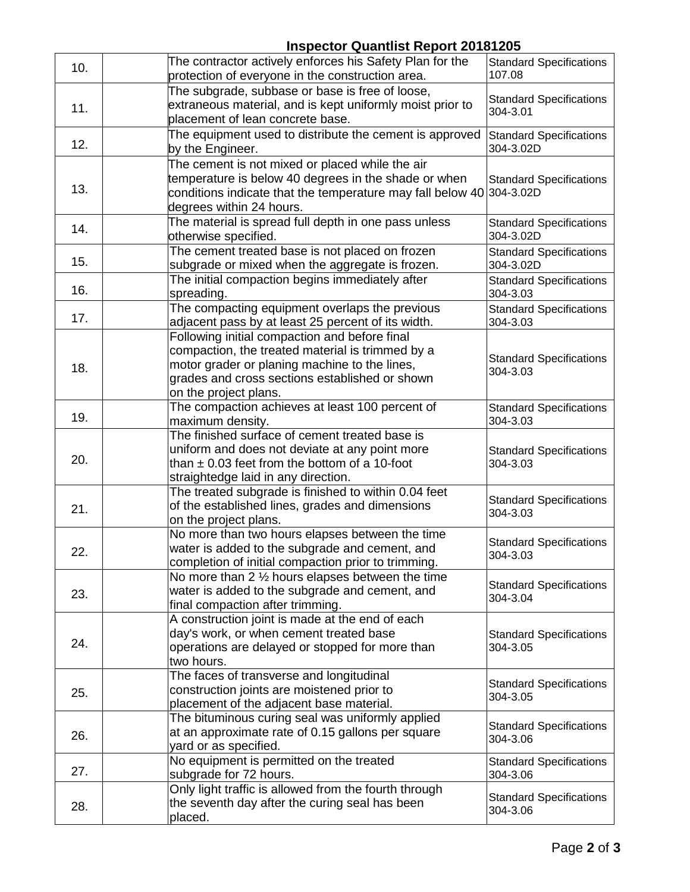## **Inspector Quantlist Report 20181205**

|     | $1.10$ poster $\sim$ againment $1.0$ pm                                                                      |                                          |
|-----|--------------------------------------------------------------------------------------------------------------|------------------------------------------|
| 10. | The contractor actively enforces his Safety Plan for the<br>protection of everyone in the construction area. | <b>Standard Specifications</b><br>107.08 |
|     | The subgrade, subbase or base is free of loose,                                                              |                                          |
|     | extraneous material, and is kept uniformly moist prior to                                                    | <b>Standard Specifications</b>           |
| 11. | placement of lean concrete base.                                                                             | 304-3.01                                 |
|     |                                                                                                              |                                          |
| 12. | The equipment used to distribute the cement is approved                                                      | <b>Standard Specifications</b>           |
|     | by the Engineer.                                                                                             | 304-3.02D                                |
|     | The cement is not mixed or placed while the air                                                              |                                          |
|     | temperature is below 40 degrees in the shade or when                                                         | <b>Standard Specifications</b>           |
| 13. | conditions indicate that the temperature may fall below 40 304-3.02D                                         |                                          |
|     | degrees within 24 hours.                                                                                     |                                          |
|     | The material is spread full depth in one pass unless                                                         | <b>Standard Specifications</b>           |
| 14. | otherwise specified.                                                                                         | 304-3.02D                                |
|     | The cement treated base is not placed on frozen                                                              | <b>Standard Specifications</b>           |
| 15. | subgrade or mixed when the aggregate is frozen.                                                              | 304-3.02D                                |
|     | The initial compaction begins immediately after                                                              | <b>Standard Specifications</b>           |
| 16. | spreading.                                                                                                   | 304-3.03                                 |
|     | The compacting equipment overlaps the previous                                                               | <b>Standard Specifications</b>           |
| 17. | adjacent pass by at least 25 percent of its width.                                                           | 304-3.03                                 |
|     | Following initial compaction and before final                                                                |                                          |
|     | compaction, the treated material is trimmed by a                                                             |                                          |
| 18. | motor grader or planing machine to the lines,                                                                | <b>Standard Specifications</b>           |
|     | grades and cross sections established or shown                                                               | 304-3.03                                 |
|     | on the project plans.                                                                                        |                                          |
|     | The compaction achieves at least 100 percent of                                                              | <b>Standard Specifications</b>           |
| 19. | maximum density.                                                                                             | 304-3.03                                 |
|     | The finished surface of cement treated base is                                                               |                                          |
|     | uniform and does not deviate at any point more                                                               | <b>Standard Specifications</b>           |
| 20. | than $\pm$ 0.03 feet from the bottom of a 10-foot                                                            | 304-3.03                                 |
|     | straightedge laid in any direction.                                                                          |                                          |
|     | The treated subgrade is finished to within 0.04 feet                                                         |                                          |
| 21. | of the established lines, grades and dimensions                                                              | <b>Standard Specifications</b>           |
|     | on the project plans.                                                                                        | 304-3.03                                 |
|     | No more than two hours elapses between the time                                                              |                                          |
|     | water is added to the subgrade and cement, and                                                               | <b>Standard Specifications</b>           |
| 22. | completion of initial compaction prior to trimming.                                                          | 304-3.03                                 |
|     | No more than 2 $\frac{1}{2}$ hours elapses between the time                                                  |                                          |
|     | water is added to the subgrade and cement, and                                                               | <b>Standard Specifications</b>           |
| 23. | final compaction after trimming.                                                                             | 304-3.04                                 |
|     | A construction joint is made at the end of each                                                              |                                          |
|     | day's work, or when cement treated base                                                                      | <b>Standard Specifications</b>           |
| 24. | operations are delayed or stopped for more than                                                              | 304-3.05                                 |
|     | two hours.                                                                                                   |                                          |
|     | The faces of transverse and longitudinal                                                                     |                                          |
| 25. | construction joints are moistened prior to                                                                   | <b>Standard Specifications</b>           |
|     | placement of the adjacent base material.                                                                     | 304-3.05                                 |
| 26. | The bituminous curing seal was uniformly applied                                                             |                                          |
|     | at an approximate rate of 0.15 gallons per square                                                            | <b>Standard Specifications</b>           |
|     | yard or as specified.                                                                                        | 304-3.06                                 |
| 27. | No equipment is permitted on the treated                                                                     | <b>Standard Specifications</b>           |
|     | subgrade for 72 hours.                                                                                       | 304-3.06                                 |
|     | Only light traffic is allowed from the fourth through                                                        |                                          |
| 28. | the seventh day after the curing seal has been                                                               | <b>Standard Specifications</b>           |
|     | placed.                                                                                                      | 304-3.06                                 |
|     |                                                                                                              |                                          |